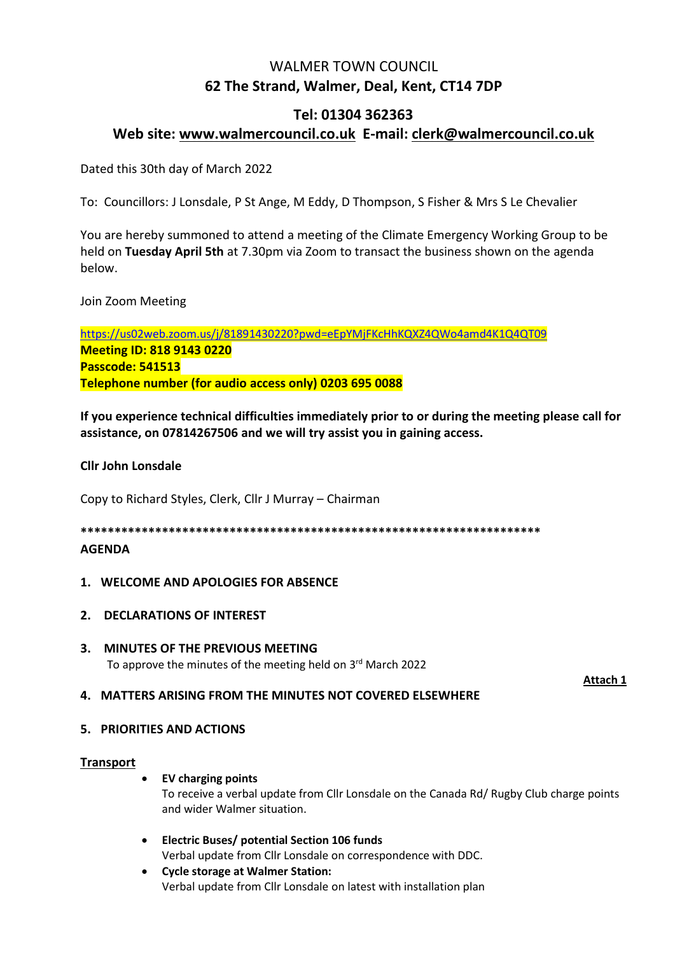# WALMER TOWN COUNCIL **62 The Strand, Walmer, Deal, Kent, CT14 7DP**

# **Tel: 01304 362363 Web site: [www.walmercouncil.co.uk](http://www.walmercouncil.co.uk/) E-mail: clerk@walmercouncil.co.uk**

Dated this 30th day of March 2022

To: Councillors: J Lonsdale, P St Ange, M Eddy, D Thompson, S Fisher & Mrs S Le Chevalier

You are hereby summoned to attend a meeting of the Climate Emergency Working Group to be held on **Tuesday April 5th** at 7.30pm via Zoom to transact the business shown on the agenda below.

Join Zoom Meeting

<https://us02web.zoom.us/j/81891430220?pwd=eEpYMjFKcHhKQXZ4QWo4amd4K1Q4QT09> **Meeting ID: 818 9143 0220 Passcode: 541513 Telephone number (for audio access only) 0203 695 0088**

**If you experience technical difficulties immediately prior to or during the meeting please call for assistance, on 07814267506 and we will try assist you in gaining access.**

# **Cllr John Lonsdale**

Copy to Richard Styles, Clerk, Cllr J Murray – Chairman

**\*\*\*\*\*\*\*\*\*\*\*\*\*\*\*\*\*\*\*\*\*\*\*\*\*\*\*\*\*\*\*\*\*\*\*\*\*\*\*\*\*\*\*\*\*\*\*\*\*\*\*\*\*\*\*\*\*\*\*\*\*\*\*\*\*\*\*\***

# **AGENDA**

# **1. WELCOME AND APOLOGIES FOR ABSENCE**

- **2. DECLARATIONS OF INTEREST**
- **3. MINUTES OF THE PREVIOUS MEETING** To approve the minutes of the meeting held on 3<sup>rd</sup> March 2022

**Attach 1**

# **4. MATTERS ARISING FROM THE MINUTES NOT COVERED ELSEWHERE**

# **5. PRIORITIES AND ACTIONS**

# **Transport**

• **EV charging points**

To receive a verbal update from Cllr Lonsdale on the Canada Rd/ Rugby Club charge points and wider Walmer situation.

- **Electric Buses/ potential Section 106 funds** Verbal update from Cllr Lonsdale on correspondence with DDC.
- **Cycle storage at Walmer Station:** Verbal update from Cllr Lonsdale on latest with installation plan